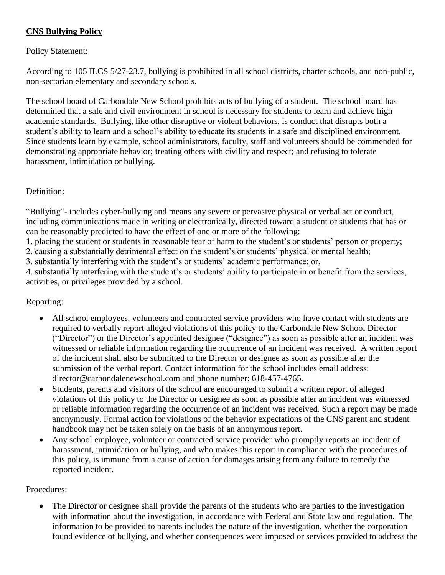# **CNS Bullying Policy**

## Policy Statement:

According to 105 ILCS 5/27-23.7, bullying is prohibited in all school districts, charter schools, and non-public, non-sectarian elementary and secondary schools.

The school board of Carbondale New School prohibits acts of bullying of a student. The school board has determined that a safe and civil environment in school is necessary for students to learn and achieve high academic standards. Bullying, like other disruptive or violent behaviors, is conduct that disrupts both a student's ability to learn and a school's ability to educate its students in a safe and disciplined environment. Since students learn by example, school administrators, faculty, staff and volunteers should be commended for demonstrating appropriate behavior; treating others with civility and respect; and refusing to tolerate harassment, intimidation or bullying.

### Definition:

"Bullying"- includes cyber-bullying and means any severe or pervasive physical or verbal act or conduct, including communications made in writing or electronically, directed toward a student or students that has or can be reasonably predicted to have the effect of one or more of the following:

1. placing the student or students in reasonable fear of harm to the student's or students' person or property;

2. causing a substantially detrimental effect on the student's or students' physical or mental health;

3. substantially interfering with the student's or students' academic performance; or,

4. substantially interfering with the student's or students' ability to participate in or benefit from the services, activities, or privileges provided by a school.

## Reporting:

- All school employees, volunteers and contracted service providers who have contact with students are required to verbally report alleged violations of this policy to the Carbondale New School Director ("Director") or the Director's appointed designee ("designee") as soon as possible after an incident was witnessed or reliable information regarding the occurrence of an incident was received. A written report of the incident shall also be submitted to the Director or designee as soon as possible after the submission of the verbal report. Contact information for the school includes email address: director@carbondalenewschool.com and phone number: 618-457-4765.
- Students, parents and visitors of the school are encouraged to submit a written report of alleged violations of this policy to the Director or designee as soon as possible after an incident was witnessed or reliable information regarding the occurrence of an incident was received. Such a report may be made anonymously. Formal action for violations of the behavior expectations of the CNS parent and student handbook may not be taken solely on the basis of an anonymous report.
- Any school employee, volunteer or contracted service provider who promptly reports an incident of harassment, intimidation or bullying, and who makes this report in compliance with the procedures of this policy, is immune from a cause of action for damages arising from any failure to remedy the reported incident.

#### Procedures:

• The Director or designee shall provide the parents of the students who are parties to the investigation with information about the investigation, in accordance with Federal and State law and regulation. The information to be provided to parents includes the nature of the investigation, whether the corporation found evidence of bullying, and whether consequences were imposed or services provided to address the